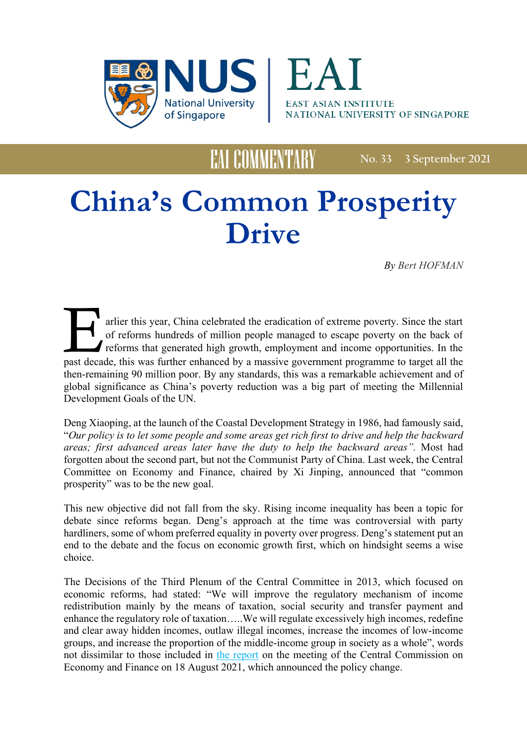



**No. 33 3 September 2021**

# **China's Common Prosperity Drive**

EAI COMMENTARY

*By Bert HOFMAN*

past decade, this was further enhanced by a massive government programme to target all the then-remaining 90 million poor. By any standards, this was a remarkable achievement and of global significance as China's poverty reduction was a big part of meeting the Millennial Development Goals of the UN. arlier this year, China celebrated the eradication of extreme poverty. Since the start of reforms hundreds of million people managed to escape poverty on the back of reforms that generated high growth, employment and income opportunities. In the

Deng Xiaoping, at the launch of the Coastal Development Strategy in 1986, had famously said, "*Our policy is to let some people and some areas get rich first to drive and help the backward areas; first advanced areas later have the duty to help the backward areas".* Most had forgotten about the second part, but not the Communist Party of China. Last week, the Central Committee on Economy and Finance, chaired by Xi Jinping, announced that "common prosperity" was to be the new goal.

This new objective did not fall from the sky. Rising income inequality has been a topic for debate since reforms began. Deng's approach at the time was controversial with party hardliners, some of whom preferred equality in poverty over progress. Deng's statement put an end to the debate and the focus on economic growth first, which on hindsight seems a wise choice.

The Decisions of the Third Plenum of the Central Committee in 2013, which focused on economic reforms, had stated: "We will improve the regulatory mechanism of income redistribution mainly by the means of taxation, social security and transfer payment and enhance the regulatory role of taxation…..We will regulate excessively high incomes, redefine and clear away hidden incomes, outlaw illegal incomes, increase the incomes of low-income groups, and increase the proportion of the middle-income group in society as a whole", words not dissimilar to those included in [the report](http://en.people.cn/n3/2021/0818/c90000-9885064.html) on the meeting of the Central Commission on Economy and Finance on 18 August 2021, which announced the policy change.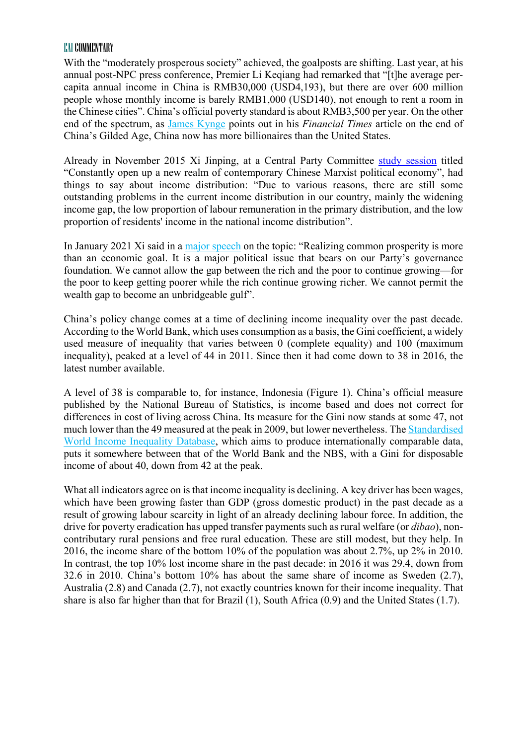With the "moderately prosperous society" achieved, the goalposts are shifting. Last year, at his annual post-NPC press conference, Premier Li Keqiang had remarked that "[t]he average percapita annual income in China is RMB30,000 (USD4,193), but there are over 600 million people whose monthly income is barely RMB1,000 (USD140), not enough to rent a room in the Chinese cities". China's official poverty standard is about RMB3,500 per year. On the other end of the spectrum, as [James Kynge](https://amp.ft.com/content/8761f611-5619-4c2d-8627-577ba9359cd4?__twitter_impression=true) points out in his *Financial Times* article on the end of China's Gilded Age, China now has more billionaires than the United States.

Already in November 2015 Xi Jinping, at a Central Party Committee study [session](http://www.xinhuanet.com/politics/leaders/2020-08/15/c_1126371720.htm) titled "Constantly open up a new realm of contemporary Chinese Marxist political economy", had things to say about income distribution: "Due to various reasons, there are still some outstanding problems in the current income distribution in our country, mainly the widening income gap, the low proportion of labour remuneration in the primary distribution, and the low proportion of residents' income in the national income distribution".

In January 2021 Xi said in a [major speech](http://en.qstheory.cn/2021-07/08/c_641137.htm) on the topic: "Realizing common prosperity is more than an economic goal. It is a major political issue that bears on our Party's governance foundation. We cannot allow the gap between the rich and the poor to continue growing—for the poor to keep getting poorer while the rich continue growing richer. We cannot permit the wealth gap to become an unbridgeable gulf".

China's policy change comes at a time of declining income inequality over the past decade. According to the World Bank, which uses consumption as a basis, the Gini coefficient, a widely used measure of inequality that varies between 0 (complete equality) and 100 (maximum inequality), peaked at a level of 44 in 2011. Since then it had come down to 38 in 2016, the latest number available.

A level of 38 is comparable to, for instance, Indonesia (Figure 1). China's official measure published by the National Bureau of Statistics, is income based and does not correct for differences in cost of living across China. Its measure for the Gini now stands at some 47, not much lower than the 49 measured at the peak in 2009, but lower nevertheless. The [Standardised](https://dataverse.harvard.edu/dataset.xhtml?persistentId=hdl:1902.1/11992)  [World Income Inequality Database,](https://dataverse.harvard.edu/dataset.xhtml?persistentId=hdl:1902.1/11992) which aims to produce internationally comparable data, puts it somewhere between that of the World Bank and the NBS, with a Gini for disposable income of about 40, down from 42 at the peak.

What all indicators agree on is that income inequality is declining. A key driver has been wages, which have been growing faster than GDP (gross domestic product) in the past decade as a result of growing labour scarcity in light of an already declining labour force. In addition, the drive for poverty eradication has upped transfer payments such as rural welfare (or *dibao*), noncontributary rural pensions and free rural education. These are still modest, but they help. In 2016, the income share of the bottom 10% of the population was about 2.7%, up 2% in 2010. In contrast, the top 10% lost income share in the past decade: in 2016 it was 29.4, down from 32.6 in 2010. China's bottom 10% has about the same share of income as Sweden (2.7), Australia (2.8) and Canada (2.7), not exactly countries known for their income inequality. That share is also far higher than that for Brazil (1), South Africa (0.9) and the United States (1.7).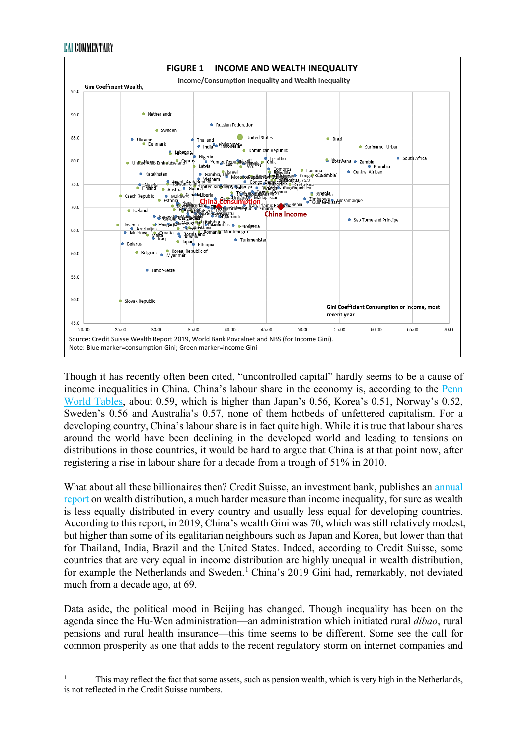

Though it has recently often been cited, "uncontrolled capital" hardly seems to be a cause of income inequalities in China. China's labour share in the economy is, according to the Penn [World Tables,](https://www.rug.nl/ggdc/productivity/pwt/?lang=en) about 0.59, which is higher than Japan's 0.56, Korea's 0.51, Norway's 0.52, Sweden's 0.56 and Australia's 0.57, none of them hotbeds of unfettered capitalism. For a developing country, China's labour share is in fact quite high. While it is true that labour shares around the world have been declining in the developed world and leading to tensions on distributions in those countries, it would be hard to argue that China is at that point now, after registering a rise in labour share for a decade from a trough of 51% in 2010.

What about all these billionaires then? Credit Suisse, an investment bank, publishes an [annual](https://www.credit-suisse.com/about-us/en/reports-research/global-wealth-report.html)  [report](https://www.credit-suisse.com/about-us/en/reports-research/global-wealth-report.html) on wealth distribution, a much harder measure than income inequality, for sure as wealth is less equally distributed in every country and usually less equal for developing countries. According to this report, in 2019, China's wealth Gini was 70, which was still relatively modest, but higher than some of its egalitarian neighbours such as Japan and Korea, but lower than that for Thailand, India, Brazil and the United States. Indeed, according to Credit Suisse, some countries that are very equal in income distribution are highly unequal in wealth distribution, for example the Netherlands and Sweden. [1](#page-2-0) China's 2019 Gini had, remarkably, not deviated much from a decade ago, at 69.

Data aside, the political mood in Beijing has changed. Though inequality has been on the agenda since the Hu-Wen administration—an administration which initiated rural *dibao*, rural pensions and rural health insurance—this time seems to be different. Some see the call for common prosperity as one that adds to the recent regulatory storm on internet companies and

<span id="page-2-0"></span> $\overline{a}$ <sup>1</sup> This may reflect the fact that some assets, such as pension wealth, which is very high in the Netherlands, is not reflected in the Credit Suisse numbers.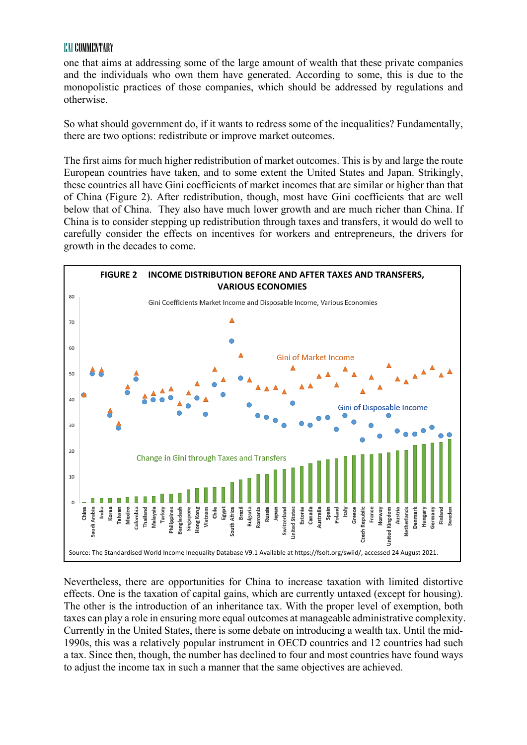one that aims at addressing some of the large amount of wealth that these private companies and the individuals who own them have generated. According to some, this is due to the monopolistic practices of those companies, which should be addressed by regulations and otherwise.

So what should government do, if it wants to redress some of the inequalities? Fundamentally, there are two options: redistribute or improve market outcomes.

The first aims for much higher redistribution of market outcomes. This is by and large the route European countries have taken, and to some extent the United States and Japan. Strikingly, these countries all have Gini coefficients of market incomes that are similar or higher than that of China (Figure 2). After redistribution, though, most have Gini coefficients that are well below that of China. They also have much lower growth and are much richer than China. If China is to consider stepping up redistribution through taxes and transfers, it would do well to carefully consider the effects on incentives for workers and entrepreneurs, the drivers for growth in the decades to come.



Nevertheless, there are opportunities for China to increase taxation with limited distortive effects. One is the taxation of capital gains, which are currently untaxed (except for housing). The other is the introduction of an inheritance tax. With the proper level of exemption, both taxes can play a role in ensuring more equal outcomes at manageable administrative complexity. Currently in the United States, there is some debate on introducing a wealth tax. Until the mid-1990s, this was a relatively popular instrument in OECD countries and 12 countries had such a tax. Since then, though, the number has declined to four and most countries have found ways to adjust the income tax in such a manner that the same objectives are achieved.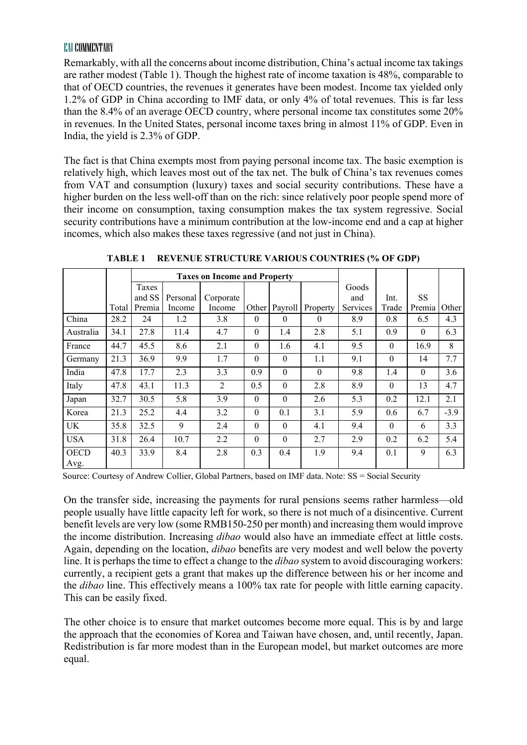Remarkably, with all the concerns about income distribution, China's actual income tax takings are rather modest (Table 1). Though the highest rate of income taxation is 48%, comparable to that of OECD countries, the revenues it generates have been modest. Income tax yielded only 1.2% of GDP in China according to IMF data, or only 4% of total revenues. This is far less than the 8.4% of an average OECD country, where personal income tax constitutes some 20% in revenues. In the United States, personal income taxes bring in almost 11% of GDP. Even in India, the yield is 2.3% of GDP.

The fact is that China exempts most from paying personal income tax. The basic exemption is relatively high, which leaves most out of the tax net. The bulk of China's tax revenues comes from VAT and consumption (luxury) taxes and social security contributions. These have a higher burden on the less well-off than on the rich: since relatively poor people spend more of their income on consumption, taxing consumption makes the tax system regressive. Social security contributions have a minimum contribution at the low-income end and a cap at higher incomes, which also makes these taxes regressive (and not just in China).

|                     |       | <b>Taxes on Income and Property</b> |          |           |          |          |              |          |          |          |        |
|---------------------|-------|-------------------------------------|----------|-----------|----------|----------|--------------|----------|----------|----------|--------|
|                     |       | Taxes                               |          |           |          |          |              | Goods    |          |          |        |
|                     |       | and SS                              | Personal | Corporate |          |          |              | and      | Int.     | SS       |        |
|                     | Total | Premia                              | Income   | Income    | Other    | Payroll  | Property     | Services | Trade    | Premia   | Other  |
| China               | 28.2  | 24                                  | 1.2      | 3.8       | $\theta$ | $\theta$ | $\mathbf{0}$ | 8.9      | 0.8      | 6.5      | 4.3    |
| Australia           | 34.1  | 27.8                                | 11.4     | 4.7       | $\theta$ | 1.4      | 2.8          | 5.1      | 0.9      | $\theta$ | 6.3    |
| France              | 44.7  | 45.5                                | 8.6      | 2.1       | $\theta$ | 1.6      | 4.1          | 9.5      | $\theta$ | 16.9     | 8      |
| Germany             | 21.3  | 36.9                                | 9.9      | 1.7       | $\theta$ | $\theta$ | 1.1          | 9.1      | $\theta$ | 14       | 7.7    |
| India               | 47.8  | 17.7                                | 2.3      | 3.3       | 0.9      | $\theta$ | $\theta$     | 9.8      | 1.4      | $\theta$ | 3.6    |
| Italy               | 47.8  | 43.1                                | 11.3     | 2         | 0.5      | $\theta$ | 2.8          | 8.9      | $\theta$ | 13       | 4.7    |
| Japan               | 32.7  | 30.5                                | 5.8      | 3.9       | $\theta$ | $\theta$ | 2.6          | 5.3      | 0.2      | 12.1     | 2.1    |
| Korea               | 21.3  | 25.2                                | 4.4      | 3.2       | $\theta$ | 0.1      | 3.1          | 5.9      | 0.6      | 6.7      | $-3.9$ |
| UK                  | 35.8  | 32.5                                | 9        | 2.4       | $\theta$ | $\theta$ | 4.1          | 9.4      | $\theta$ | 6        | 3.3    |
| <b>USA</b>          | 31.8  | 26.4                                | 10.7     | 2.2       | $\Omega$ | $\Omega$ | 2.7          | 2.9      | 0.2      | 6.2      | 5.4    |
| <b>OECD</b><br>Avg. | 40.3  | 33.9                                | 8.4      | 2.8       | 0.3      | 0.4      | 1.9          | 9.4      | 0.1      | 9        | 6.3    |

**TABLE 1 REVENUE STRUCTURE VARIOUS COUNTRIES (% OF GDP)**

Source: Courtesy of Andrew Collier, Global Partners, based on IMF data. Note: SS = Social Security

On the transfer side, increasing the payments for rural pensions seems rather harmless—old people usually have little capacity left for work, so there is not much of a disincentive. Current benefit levels are very low (some RMB150-250 per month) and increasing them would improve the income distribution. Increasing *dibao* would also have an immediate effect at little costs. Again, depending on the location, *dibao* benefits are very modest and well below the poverty line. It is perhaps the time to effect a change to the *dibao* system to avoid discouraging workers: currently, a recipient gets a grant that makes up the difference between his or her income and the *dibao* line. This effectively means a 100% tax rate for people with little earning capacity. This can be easily fixed.

The other choice is to ensure that market outcomes become more equal. This is by and large the approach that the economies of Korea and Taiwan have chosen, and, until recently, Japan. Redistribution is far more modest than in the European model, but market outcomes are more equal.